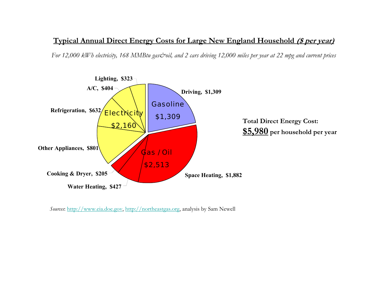## **Typical Annual Direct Energy Costs for Large New England Household (\$ per year)**

*For 12,000 kWh electricity, 168 MMBtu gas&oil, and 2 cars driving 12,000 miles per year at 22 mpg and current prices*



*Sources*: http://www.eia.doe.gov, http://northeastgas.org, analysis by Sam Newell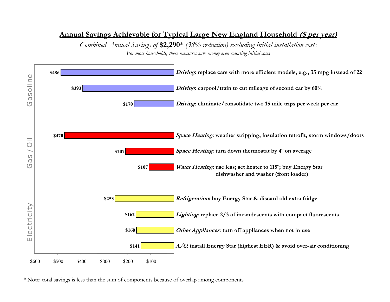## **Annual Savings Achievable for Typical Large New England Household (\$ per year)**

*Combined Annual Savings of* **\$2,290**\* *(38% reduction) excluding initial installation costs For most households, these measures save money even counting initial costs*



<sup>\*</sup> Note: total savings is less than the sum of components because of overlap among components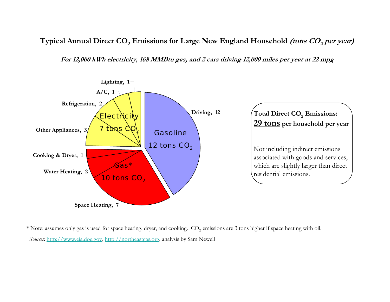$\overline{\text{Typical Annual Direct CO}_2}$   $\overline{\text{Emissions}}$  for Large New England Household *(tons*  $CO_2$ *per year)* 

**For 12,000 kWh electricity, 168 MMBtu gas, and 2 cars driving 12,000 miles per year at 22 mpg**



 $^*$  Note: assumes only gas is used for space heating, dryer, and cooking.  $\rm CO_2$  emissions are 3 tons higher if space heating with oil. *Sources*: http://www.eia.doe.gov, http://northeastgas.org, analysis by Sam Newell